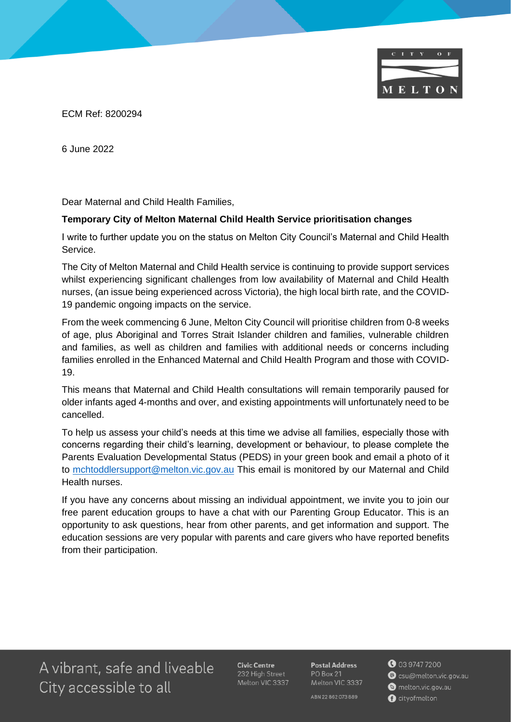

ECM Ref: 8200294

6 June 2022

Dear Maternal and Child Health Families,

## **Temporary City of Melton Maternal Child Health Service prioritisation changes**

I write to further update you on the status on Melton City Council's Maternal and Child Health Service.

The City of Melton Maternal and Child Health service is continuing to provide support services whilst experiencing significant challenges from low availability of Maternal and Child Health nurses, (an issue being experienced across Victoria), the high local birth rate, and the COVID-19 pandemic ongoing impacts on the service.

From the week commencing 6 June, Melton City Council will prioritise children from 0-8 weeks of age, plus Aboriginal and Torres Strait Islander children and families, vulnerable children and families, as well as children and families with additional needs or concerns including families enrolled in the Enhanced Maternal and Child Health Program and those with COVID-19.

This means that Maternal and Child Health consultations will remain temporarily paused for older infants aged 4-months and over, and existing appointments will unfortunately need to be cancelled.

To help us assess your child's needs at this time we advise all families, especially those with concerns regarding their child's learning, development or behaviour, to please complete the Parents Evaluation Developmental Status (PEDS) in your green book and email a photo of it to [mchtoddlersupport@melton.vic.gov.au](mailto:mchtoddlersupport@melton.vic.gov.au) This email is monitored by our Maternal and Child Health nurses.

If you have any concerns about missing an individual appointment, we invite you to join our free parent education groups to have a chat with our Parenting Group Educator. This is an opportunity to ask questions, hear from other parents, and get information and support. The education sessions are very popular with parents and care givers who have reported benefits from their participation.

A vibrant, safe and liveable City accessible to all

Civic Centre 232 High Street Melton VIC 3337 **Postal Address** PO Box 21 Melton VIC 3337

ABN 22862073889

**0** 03 9747 7200 Scsu@melton.vic.gov.au melton.vic.gov.au cityofmelton